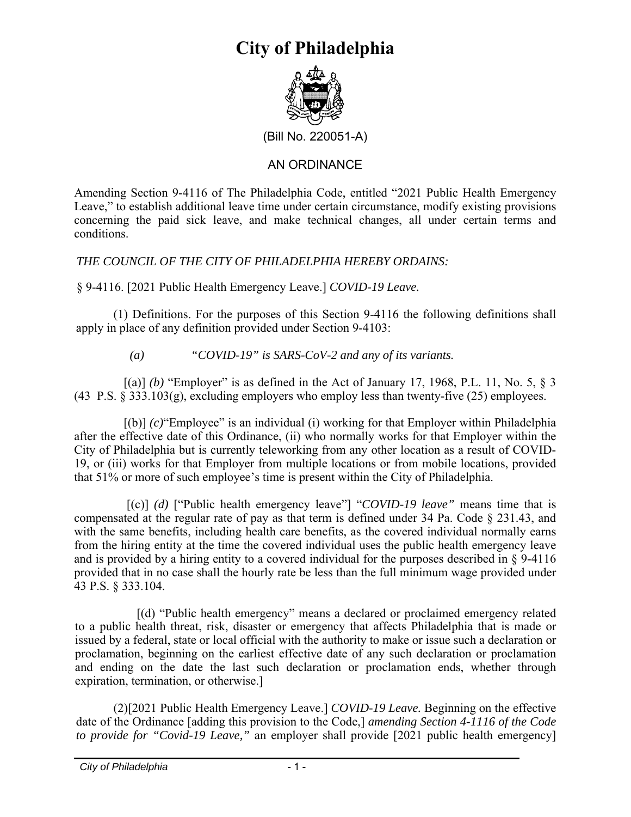

(Bill No. 220051-A)

### AN ORDINANCE

Amending Section 9-4116 of The Philadelphia Code, entitled "2021 Public Health Emergency Leave," to establish additional leave time under certain circumstance, modify existing provisions concerning the paid sick leave, and make technical changes, all under certain terms and conditions.

*THE COUNCIL OF THE CITY OF PHILADELPHIA HEREBY ORDAINS:* 

§ 9-4116. [2021 Public Health Emergency Leave.] *COVID-19 Leave.* 

(1) Definitions. For the purposes of this Section 9-4116 the following definitions shall apply in place of any definition provided under Section 9-4103:

*(a) "COVID-19" is SARS-CoV-2 and any of its variants.* 

 $\lceil$ (a) $\rceil$  (b) "Employer" is as defined in the Act of January 17, 1968, P.L. 11, No. 5,  $\lceil$  3  $(43 \text{ P.S. } \S 333.103(g),$  excluding employers who employ less than twenty-five  $(25)$  employees.

 [(b)] *(c)*"Employee" is an individual (i) working for that Employer within Philadelphia after the effective date of this Ordinance, (ii) who normally works for that Employer within the City of Philadelphia but is currently teleworking from any other location as a result of COVID-19, or (iii) works for that Employer from multiple locations or from mobile locations, provided that 51% or more of such employee's time is present within the City of Philadelphia.

 [(c)] *(d)* ["Public health emergency leave"] "*COVID-19 leave"* means time that is compensated at the regular rate of pay as that term is defined under 34 Pa. Code § 231.43, and with the same benefits, including health care benefits, as the covered individual normally earns from the hiring entity at the time the covered individual uses the public health emergency leave and is provided by a hiring entity to a covered individual for the purposes described in § 9-4116 provided that in no case shall the hourly rate be less than the full minimum wage provided under 43 P.S. § 333.104.

[(d) "Public health emergency" means a declared or proclaimed emergency related to a public health threat, risk, disaster or emergency that affects Philadelphia that is made or issued by a federal, state or local official with the authority to make or issue such a declaration or proclamation, beginning on the earliest effective date of any such declaration or proclamation and ending on the date the last such declaration or proclamation ends, whether through expiration, termination, or otherwise.]

(2)[2021 Public Health Emergency Leave.] *COVID-19 Leave.* Beginning on the effective date of the Ordinance [adding this provision to the Code,] *amending Section 4-1116 of the Code to provide for "Covid-19 Leave,"* an employer shall provide [2021 public health emergency]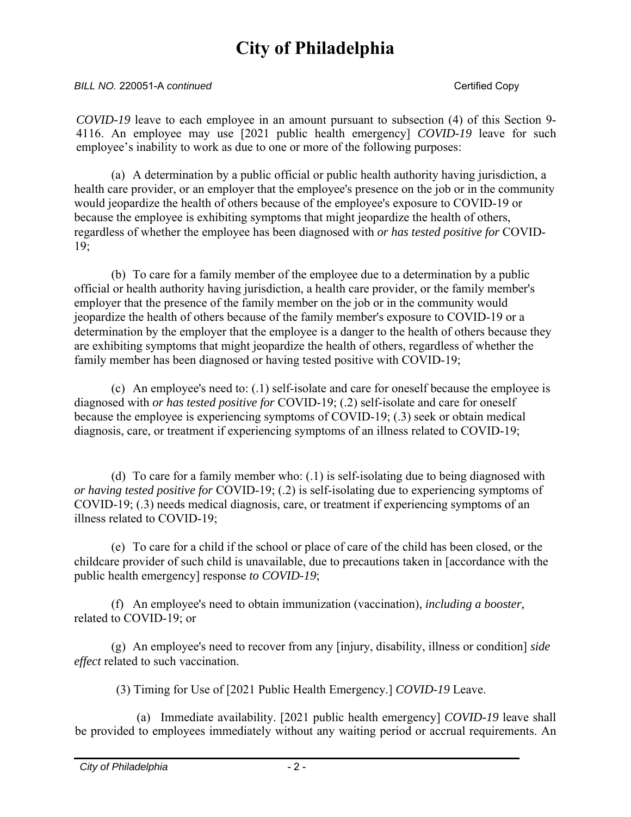#### *BILL NO.* 220051-A *continued* Certified Copy

*COVID-19* leave to each employee in an amount pursuant to subsection (4) of this Section 9- 4116. An employee may use [2021 public health emergency] *COVID-19* leave for such employee's inability to work as due to one or more of the following purposes:

(a) A determination by a public official or public health authority having jurisdiction, a health care provider, or an employer that the employee's presence on the job or in the community would jeopardize the health of others because of the employee's exposure to COVID-19 or because the employee is exhibiting symptoms that might jeopardize the health of others, regardless of whether the employee has been diagnosed with *or has tested positive for* COVID-19;

(b) To care for a family member of the employee due to a determination by a public official or health authority having jurisdiction, a health care provider, or the family member's employer that the presence of the family member on the job or in the community would jeopardize the health of others because of the family member's exposure to COVID-19 or a determination by the employer that the employee is a danger to the health of others because they are exhibiting symptoms that might jeopardize the health of others, regardless of whether the family member has been diagnosed or having tested positive with COVID-19;

(c) An employee's need to: (.1) self-isolate and care for oneself because the employee is diagnosed with *or has tested positive for* COVID-19; (.2) self-isolate and care for oneself because the employee is experiencing symptoms of COVID-19; (.3) seek or obtain medical diagnosis, care, or treatment if experiencing symptoms of an illness related to COVID-19;

(d) To care for a family member who: (.1) is self-isolating due to being diagnosed with *or having tested positive for* COVID-19; (.2) is self-isolating due to experiencing symptoms of COVID-19; (.3) needs medical diagnosis, care, or treatment if experiencing symptoms of an illness related to COVID-19;

(e) To care for a child if the school or place of care of the child has been closed, or the childcare provider of such child is unavailable, due to precautions taken in [accordance with the public health emergency] response *to COVID-19*;

(f) An employee's need to obtain immunization (vaccination)*, including a booster,*  related to COVID-19; or

(g) An employee's need to recover from any [injury, disability, illness or condition] *side effect* related to such vaccination.

(3) Timing for Use of [2021 Public Health Emergency.] *COVID-19* Leave.

(a) Immediate availability. [2021 public health emergency] *COVID-19* leave shall be provided to employees immediately without any waiting period or accrual requirements. An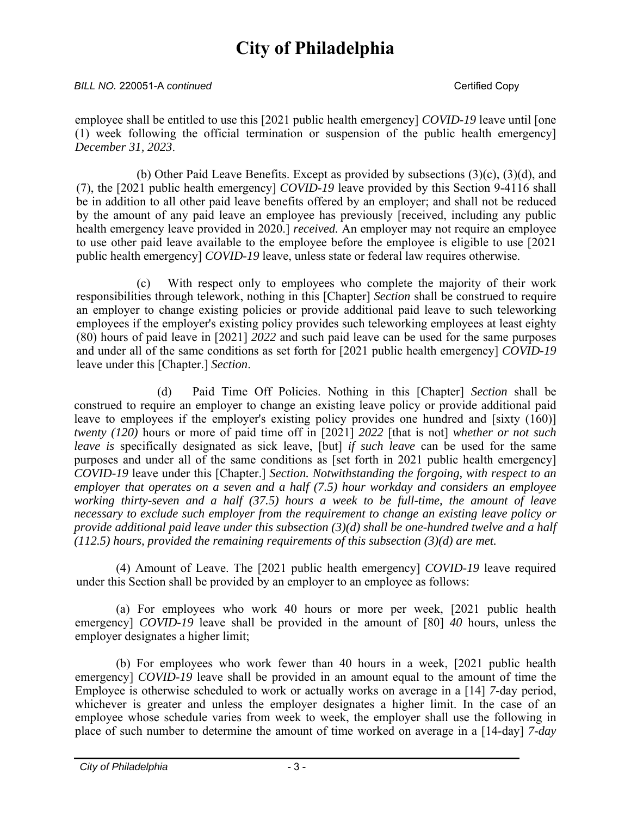#### **BILL NO. 220051-A** continued Copy **Certified Copy**

employee shall be entitled to use this [2021 public health emergency] *COVID-19* leave until [one (1) week following the official termination or suspension of the public health emergency] *December 31, 2023*.

(b) Other Paid Leave Benefits. Except as provided by subsections (3)(c), (3)(d), and (7), the [2021 public health emergency] *COVID-19* leave provided by this Section 9-4116 shall be in addition to all other paid leave benefits offered by an employer; and shall not be reduced by the amount of any paid leave an employee has previously [received, including any public health emergency leave provided in 2020.] *received.* An employer may not require an employee to use other paid leave available to the employee before the employee is eligible to use [2021 public health emergency] *COVID-19* leave, unless state or federal law requires otherwise.

(c) With respect only to employees who complete the majority of their work responsibilities through telework, nothing in this [Chapter] *Section* shall be construed to require an employer to change existing policies or provide additional paid leave to such teleworking employees if the employer's existing policy provides such teleworking employees at least eighty (80) hours of paid leave in [2021] *2022* and such paid leave can be used for the same purposes and under all of the same conditions as set forth for [2021 public health emergency] *COVID-19* leave under this [Chapter.] *Section*.

 (d) Paid Time Off Policies. Nothing in this [Chapter] *Section* shall be construed to require an employer to change an existing leave policy or provide additional paid leave to employees if the employer's existing policy provides one hundred and [sixty (160)] *twenty (120)* hours or more of paid time off in [2021] *2022* [that is not] *whether or not such leave is* specifically designated as sick leave, [but] *if such leave* can be used for the same purposes and under all of the same conditions as [set forth in 2021 public health emergency] *COVID-19* leave under this [Chapter.] *Section. Notwithstanding the forgoing, with respect to an employer that operates on a seven and a half (7.5) hour workday and considers an employee working thirty-seven and a half (37.5) hours a week to be full-time, the amount of leave necessary to exclude such employer from the requirement to change an existing leave policy or provide additional paid leave under this subsection (3)(d) shall be one-hundred twelve and a half (112.5) hours, provided the remaining requirements of this subsection (3)(d) are met.*

 (4) Amount of Leave. The [2021 public health emergency] *COVID-19* leave required under this Section shall be provided by an employer to an employee as follows:

 (a) For employees who work 40 hours or more per week, [2021 public health emergency] *COVID-19* leave shall be provided in the amount of [80] *40* hours, unless the employer designates a higher limit;

 (b) For employees who work fewer than 40 hours in a week, [2021 public health emergency] *COVID-19* leave shall be provided in an amount equal to the amount of time the Employee is otherwise scheduled to work or actually works on average in a [14] *7*-day period, whichever is greater and unless the employer designates a higher limit. In the case of an employee whose schedule varies from week to week, the employer shall use the following in place of such number to determine the amount of time worked on average in a [14-day] *7-day*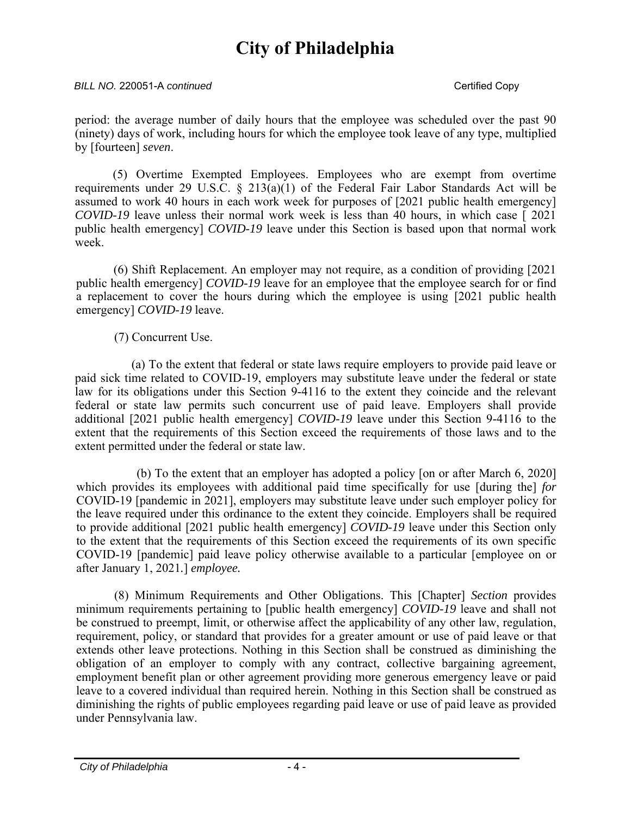#### **BILL NO. 220051-A** continued Certified Copy

period: the average number of daily hours that the employee was scheduled over the past 90 (ninety) days of work, including hours for which the employee took leave of any type, multiplied by [fourteen] *seven*.

(5) Overtime Exempted Employees. Employees who are exempt from overtime requirements under 29 U.S.C.  $\S$  213(a)(1) of the Federal Fair Labor Standards Act will be assumed to work 40 hours in each work week for purposes of [2021 public health emergency] *COVID-19* leave unless their normal work week is less than 40 hours, in which case [ 2021 public health emergency] *COVID-19* leave under this Section is based upon that normal work week.

(6) Shift Replacement. An employer may not require, as a condition of providing [2021 public health emergency] *COVID-19* leave for an employee that the employee search for or find a replacement to cover the hours during which the employee is using [2021 public health emergency] *COVID-19* leave.

(7) Concurrent Use.

 (a) To the extent that federal or state laws require employers to provide paid leave or paid sick time related to COVID-19, employers may substitute leave under the federal or state law for its obligations under this Section 9-4116 to the extent they coincide and the relevant federal or state law permits such concurrent use of paid leave. Employers shall provide additional [2021 public health emergency] *COVID-19* leave under this Section 9-4116 to the extent that the requirements of this Section exceed the requirements of those laws and to the extent permitted under the federal or state law.

(b) To the extent that an employer has adopted a policy [on or after March 6, 2020] which provides its employees with additional paid time specifically for use [during the] *for*  COVID-19 [pandemic in 2021], employers may substitute leave under such employer policy for the leave required under this ordinance to the extent they coincide. Employers shall be required to provide additional [2021 public health emergency] *COVID-19* leave under this Section only to the extent that the requirements of this Section exceed the requirements of its own specific COVID-19 [pandemic] paid leave policy otherwise available to a particular [employee on or after January 1, 2021*.*] *employee.* 

 (8) Minimum Requirements and Other Obligations. This [Chapter] *Section* provides minimum requirements pertaining to [public health emergency] *COVID-19* leave and shall not be construed to preempt, limit, or otherwise affect the applicability of any other law, regulation, requirement, policy, or standard that provides for a greater amount or use of paid leave or that extends other leave protections. Nothing in this Section shall be construed as diminishing the obligation of an employer to comply with any contract, collective bargaining agreement, employment benefit plan or other agreement providing more generous emergency leave or paid leave to a covered individual than required herein. Nothing in this Section shall be construed as diminishing the rights of public employees regarding paid leave or use of paid leave as provided under Pennsylvania law.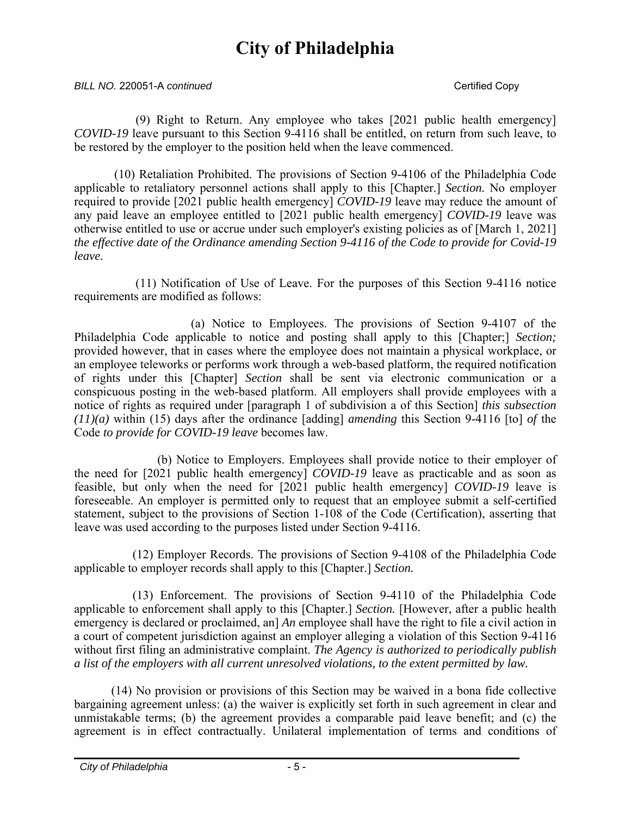#### **BILL NO. 220051-A** continued Copy **Certified Copy**

 (9) Right to Return. Any employee who takes [2021 public health emergency] *COVID-19* leave pursuant to this Section 9-4116 shall be entitled, on return from such leave, to be restored by the employer to the position held when the leave commenced.

 (10) Retaliation Prohibited. The provisions of Section 9-4106 of the Philadelphia Code applicable to retaliatory personnel actions shall apply to this [Chapter.] *Section.* No employer required to provide [2021 public health emergency] *COVID-19* leave may reduce the amount of any paid leave an employee entitled to [2021 public health emergency] *COVID-19* leave was otherwise entitled to use or accrue under such employer's existing policies as of [March 1, 2021] *the effective date of the Ordinance amending Section 9-4116 of the Code to provide for Covid-19 leave.* 

 (11) Notification of Use of Leave. For the purposes of this Section 9-4116 notice requirements are modified as follows:

 (a) Notice to Employees. The provisions of Section 9-4107 of the Philadelphia Code applicable to notice and posting shall apply to this [Chapter;] *Section;* provided however, that in cases where the employee does not maintain a physical workplace, or an employee teleworks or performs work through a web-based platform, the required notification of rights under this [Chapter] *Section* shall be sent via electronic communication or a conspicuous posting in the web-based platform. All employers shall provide employees with a notice of rights as required under [paragraph 1 of subdivision a of this Section] *this subsection (11)(a)* within (15) days after the ordinance [adding] *amending* this Section 9-4116 [to] *of* the Code *to provide for COVID-19 leave* becomes law.

 (b) Notice to Employers. Employees shall provide notice to their employer of the need for [2021 public health emergency] *COVID-19* leave as practicable and as soon as feasible, but only when the need for [2021 public health emergency] *COVID-19* leave is foreseeable. An employer is permitted only to request that an employee submit a self-certified statement, subject to the provisions of Section 1-108 of the Code (Certification), asserting that leave was used according to the purposes listed under Section 9-4116.

 (12) Employer Records. The provisions of Section 9-4108 of the Philadelphia Code applicable to employer records shall apply to this [Chapter.] *Section.*

 (13) Enforcement. The provisions of Section 9-4110 of the Philadelphia Code applicable to enforcement shall apply to this [Chapter.] *Section.* [However, after a public health emergency is declared or proclaimed, an] *An* employee shall have the right to file a civil action in a court of competent jurisdiction against an employer alleging a violation of this Section 9-4116 without first filing an administrative complaint. *The Agency is authorized to periodically publish a list of the employers with all current unresolved violations, to the extent permitted by law.*

(14) No provision or provisions of this Section may be waived in a bona fide collective bargaining agreement unless: (a) the waiver is explicitly set forth in such agreement in clear and unmistakable terms; (b) the agreement provides a comparable paid leave benefit; and (c) the agreement is in effect contractually. Unilateral implementation of terms and conditions of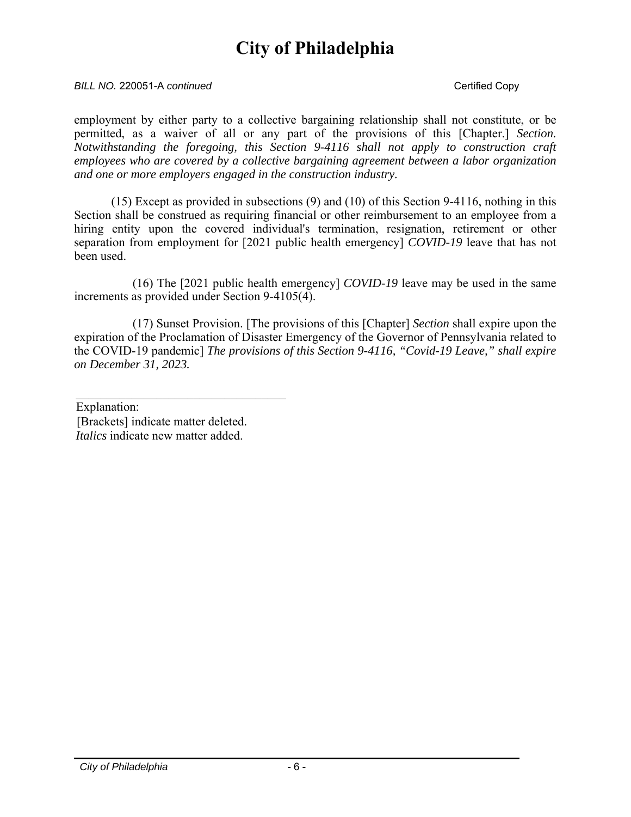**BILL NO. 220051-A** continued Certified Copy

employment by either party to a collective bargaining relationship shall not constitute, or be permitted, as a waiver of all or any part of the provisions of this [Chapter.] *Section. Notwithstanding the foregoing, this Section 9-4116 shall not apply to construction craft employees who are covered by a collective bargaining agreement between a labor organization and one or more employers engaged in the construction industry.*

(15) Except as provided in subsections (9) and (10) of this Section 9-4116, nothing in this Section shall be construed as requiring financial or other reimbursement to an employee from a hiring entity upon the covered individual's termination, resignation, retirement or other separation from employment for [2021 public health emergency] *COVID-19* leave that has not been used.

 (16) The [2021 public health emergency] *COVID-19* leave may be used in the same increments as provided under Section 9-4105(4).

 (17) Sunset Provision. [The provisions of this [Chapter] *Section* shall expire upon the expiration of the Proclamation of Disaster Emergency of the Governor of Pennsylvania related to the COVID-19 pandemic] *The provisions of this Section 9-4116, "Covid-19 Leave," shall expire on December 31, 2023.*

Explanation:

[Brackets] indicate matter deleted. *Italics* indicate new matter added.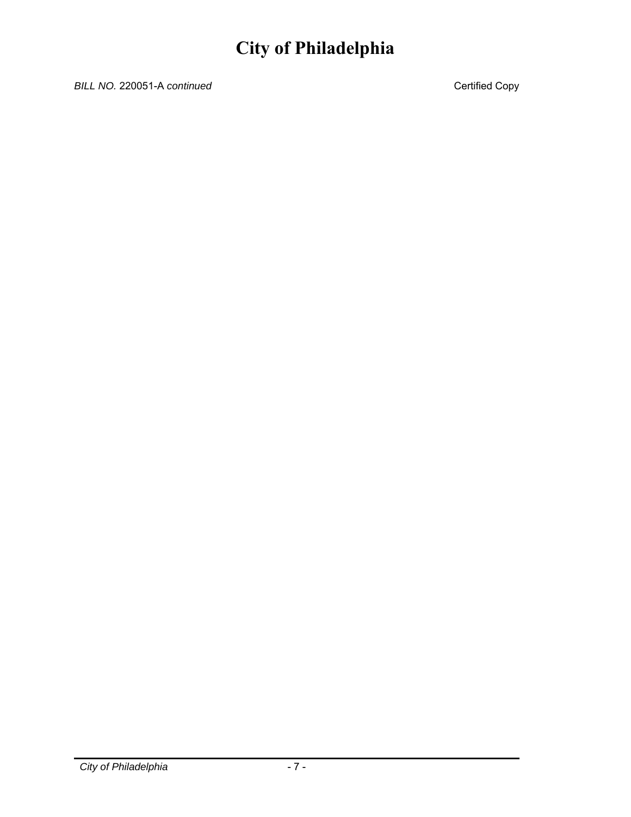**BILL NO. 220051-A** continued Copy